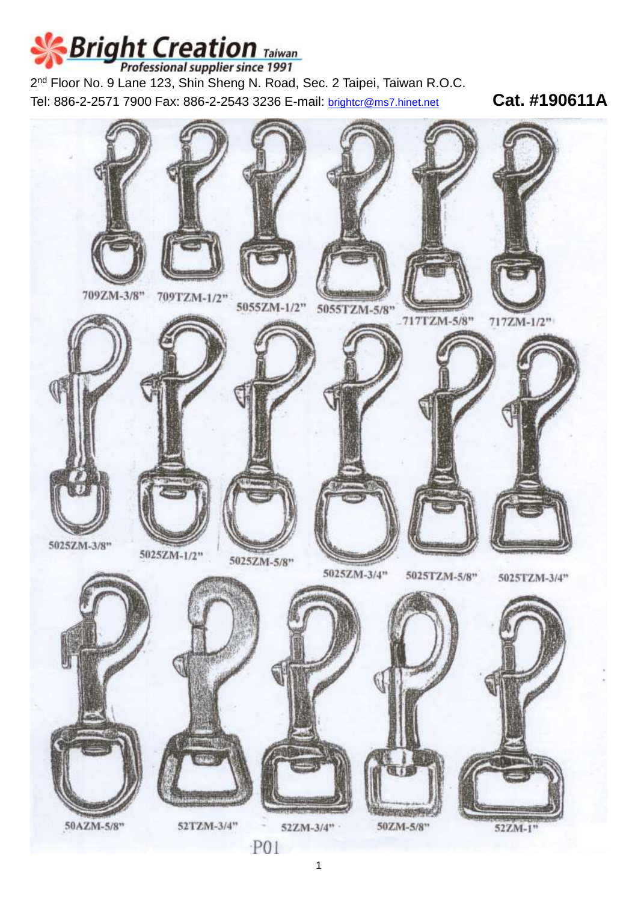# **Bright Creation** Taiwan

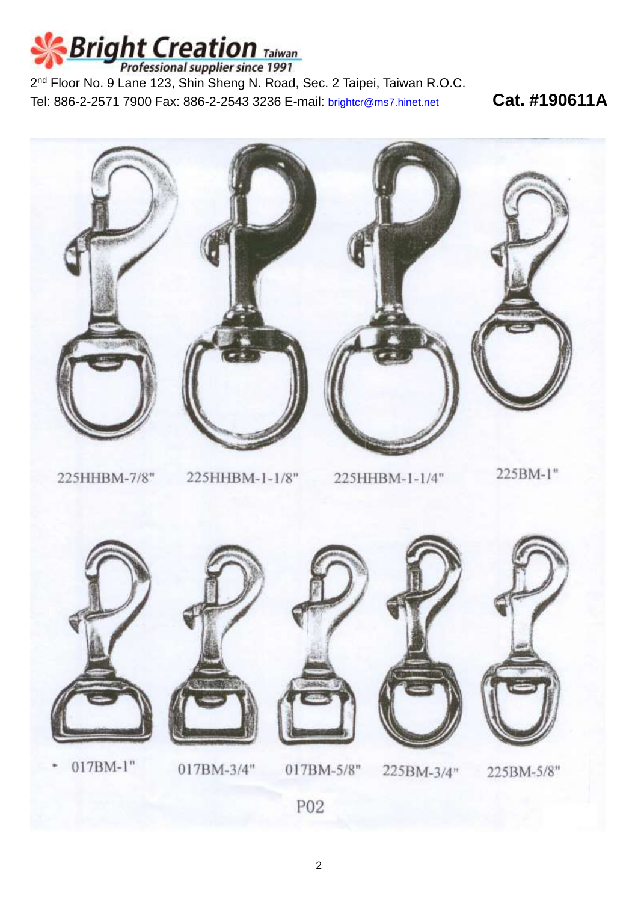



P02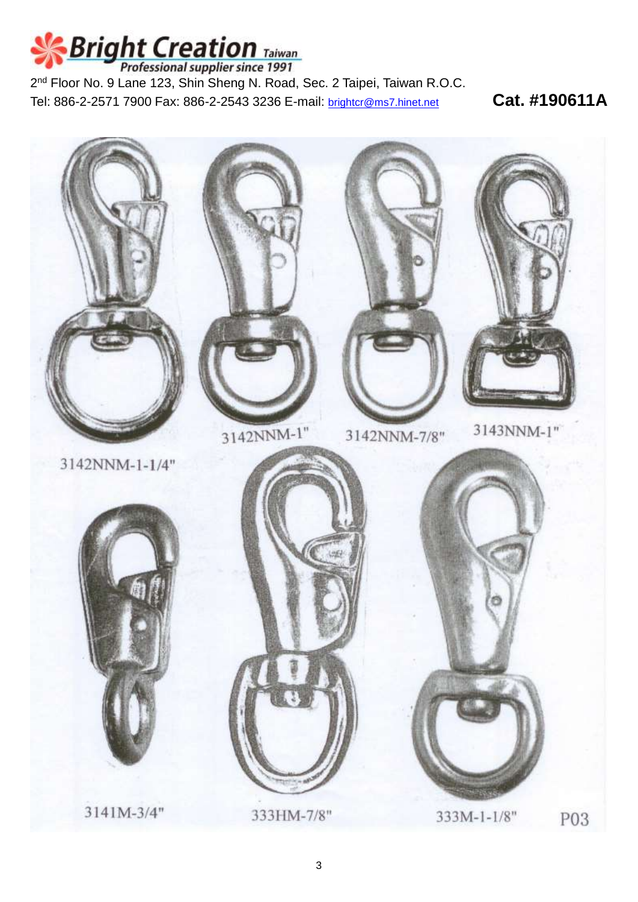

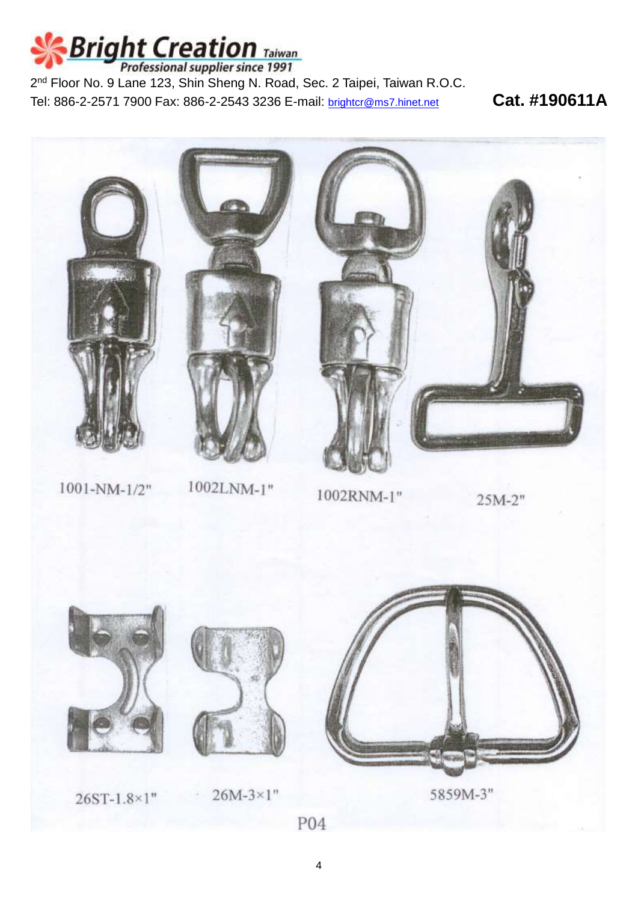





5859M-3"

**P04**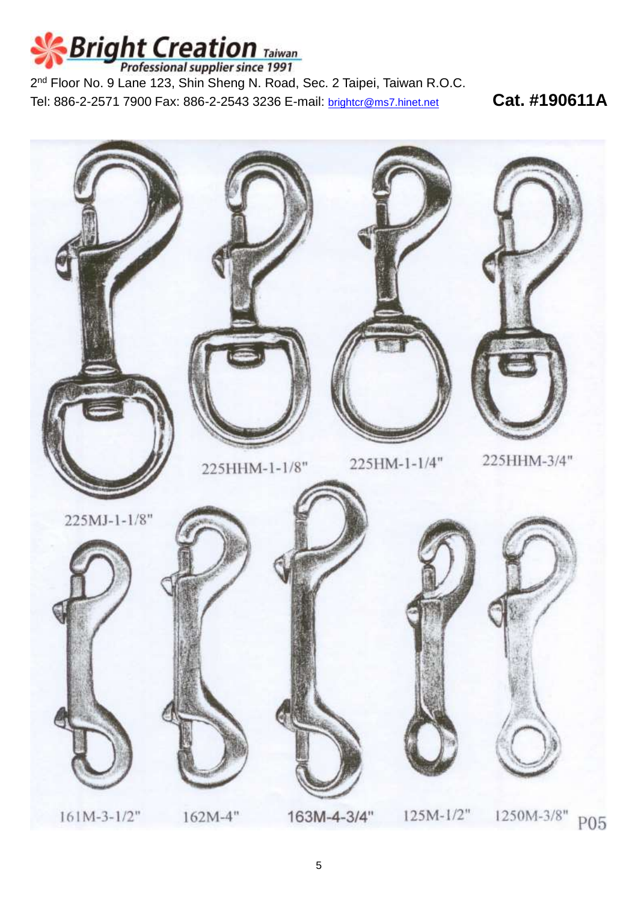

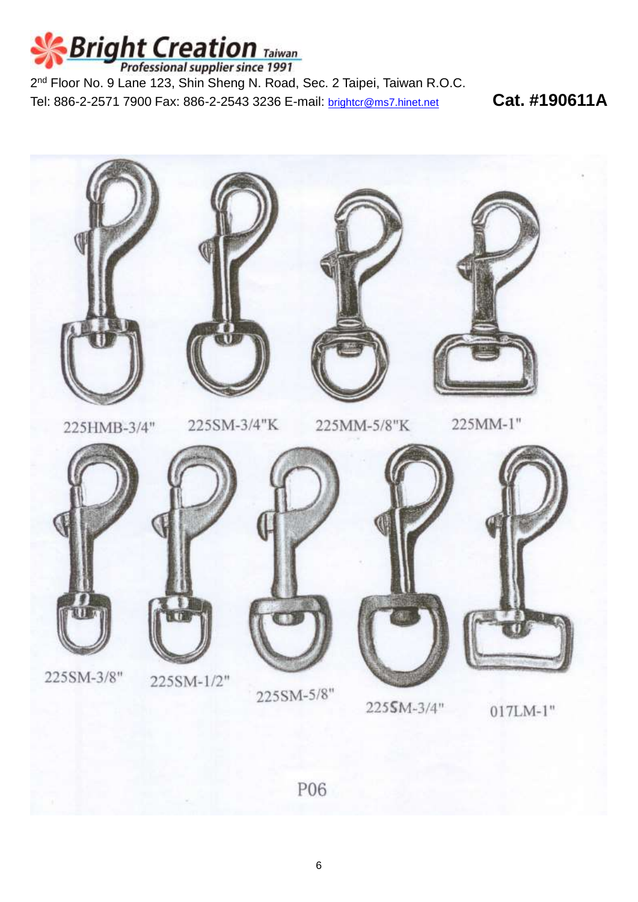



P06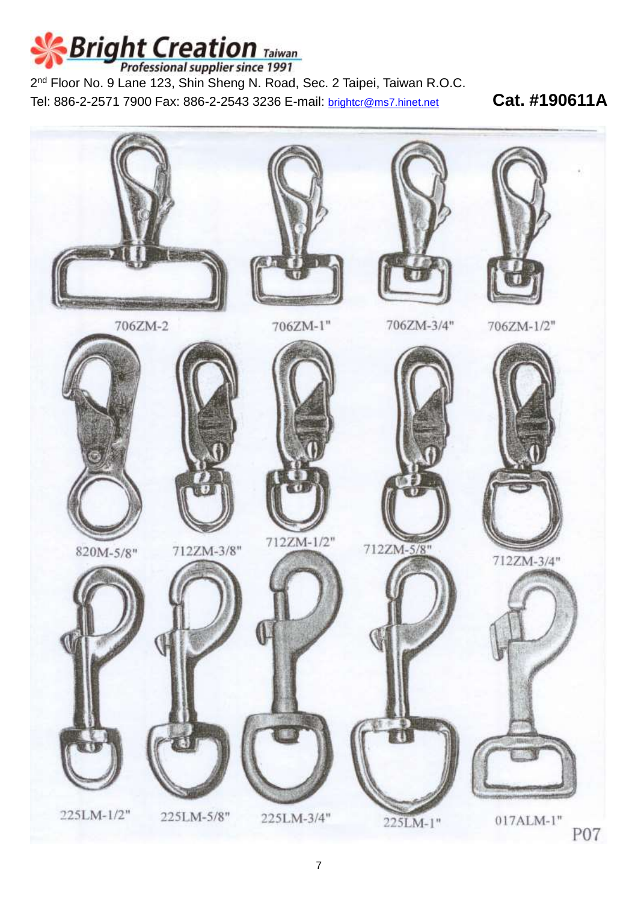

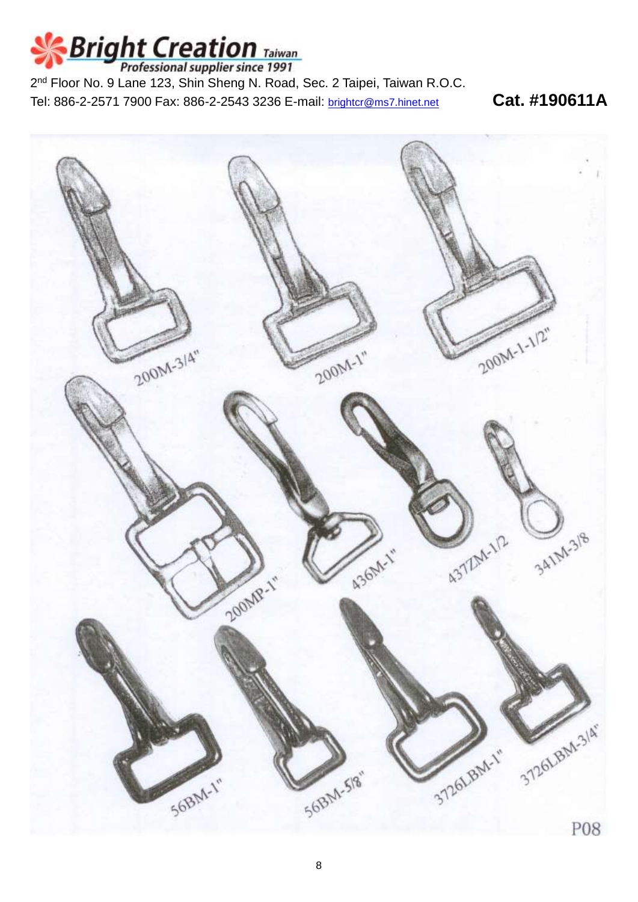

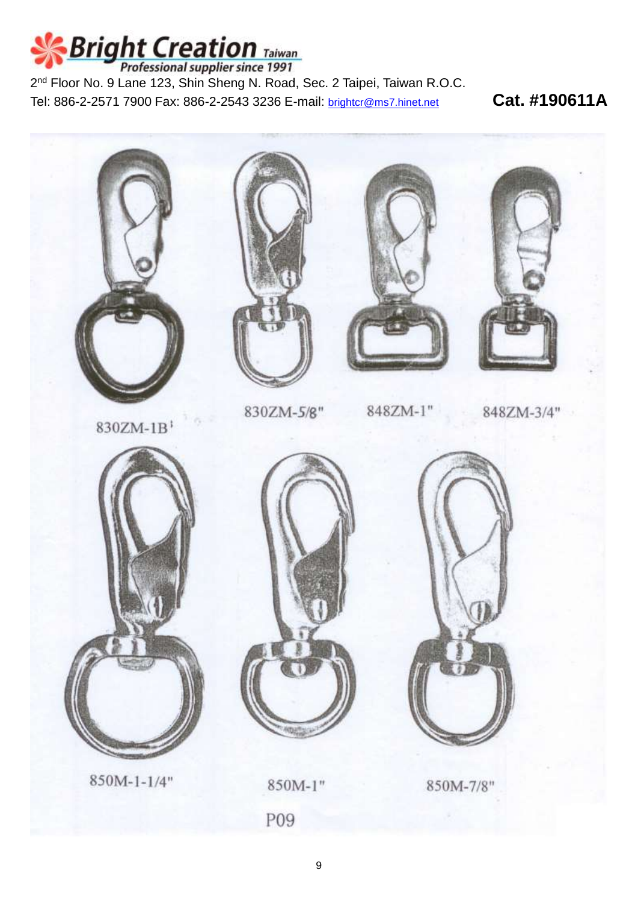

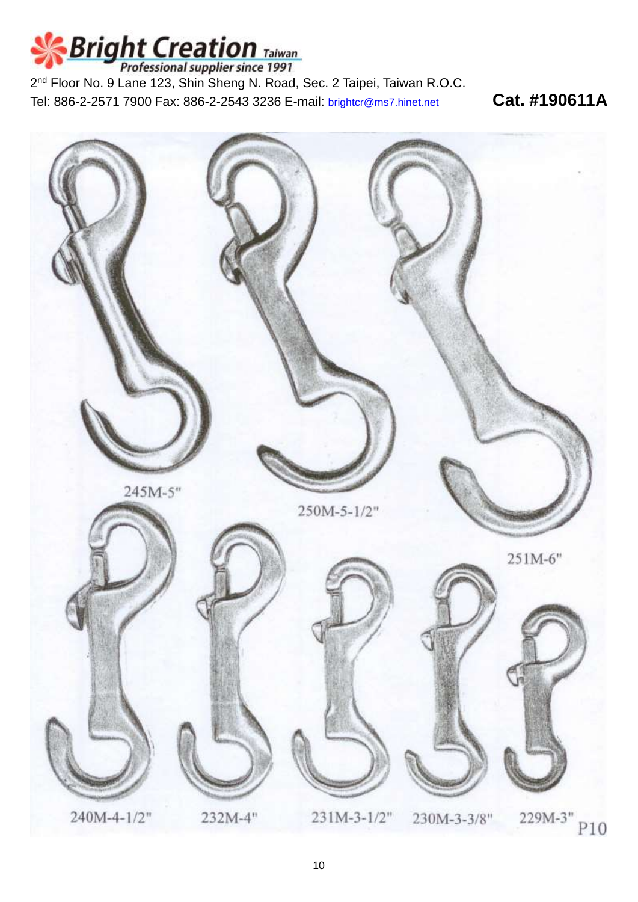

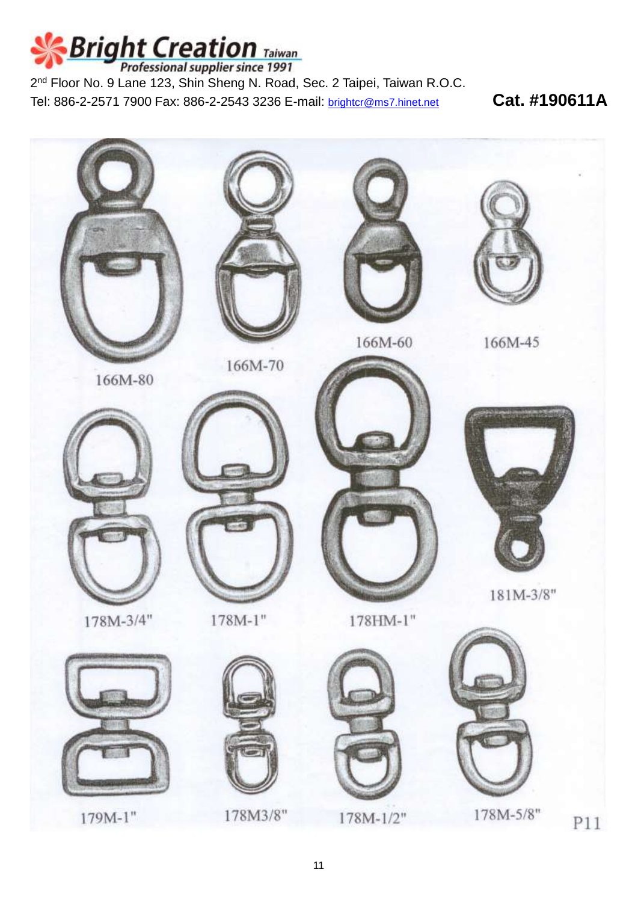

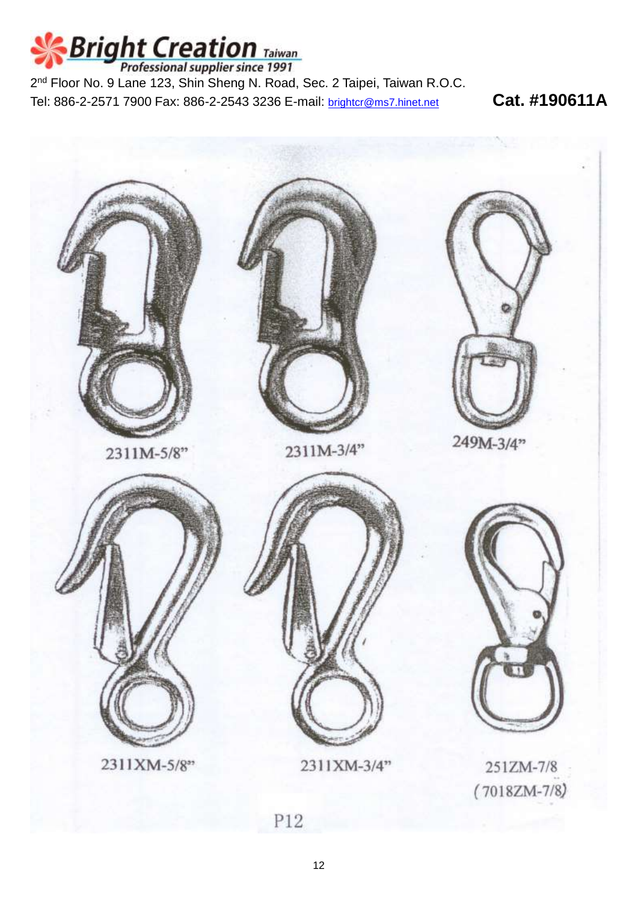